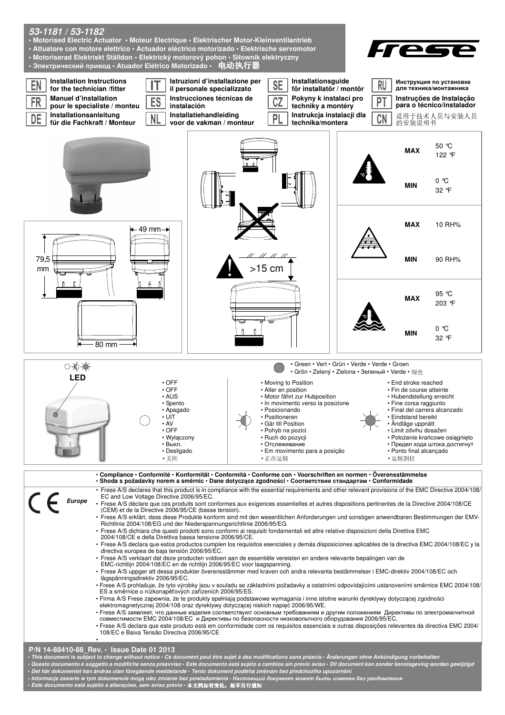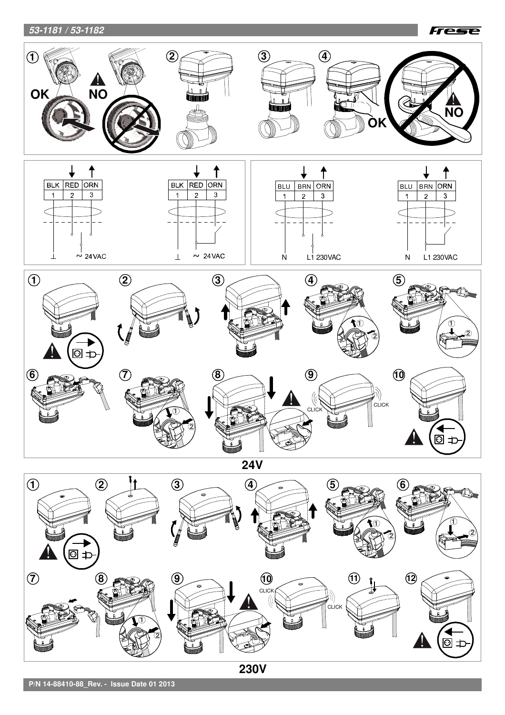# **53-1181 / 53-1182**





**P/N 14-88410-88\_Rev. - Issue Date 01 2013**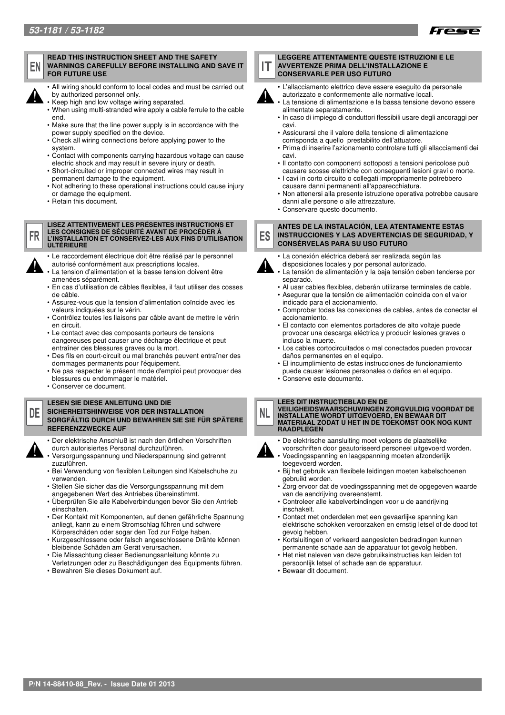



FR

### **READ THIS INSTRUCTION SHEET AND THE SAFETY WARNINGS CAREFULLY BEFORE INSTALLING AND SAVE IT FOR FUTURE USE**



- Keep high and low voltage wiring separated.
- When using multi-stranded wire apply a cable ferrule to the cable end.
- Make sure that the line power supply is in accordance with the power supply specified on the device.
- Check all wiring connections before applying power to the system.
- Contact with components carrying hazardous voltage can cause electric shock and may result in severe injury or death.
- Short-circuited or improper connected wires may result in permanent damage to the equipment.
- Not adhering to these operational instructions could cause injury or damage the equipment.
- Retain this document.
- **LISEZ ATTENTIVEMENT LES PRÉSENTES INSTRUCTIONS ET LES CONSIGNES DE SÉCURITÉ AVANT DE PROCÉDER À L'INSTALLATION ET CONSERVEZ-LES AUX FINS D'UTILISATION ULTÉRIEURE**
- Le raccordement électrique doit être réalisé par le personnel
- autorisé conformément aux prescriptions locales. La tension d'alimentation et la basse tension doivent être amenées séparément.
- En cas d'utilisation de câbles flexibles, il faut utiliser des cosses de câble.
- Assurez-vous que la tension d'alimentation coïncide avec les valeurs indiquées sur le vérin.
- Contrôlez toutes les liaisons par câble avant de mettre le vérin en circuit.
- Le contact avec des composants porteurs de tensions dangereuses peut causer une décharge électrique et peut entraîner des blessures graves ou la mort.
- Des fils en court-circuit ou mal branchés peuvent entraîner des dommages permanents pour l'équipement.
- Ne pas respecter le présent mode d'emploi peut provoquer des blessures ou endommager le matériel.
- Conserver ce document.

### **LESEN SIE DIESE ANLEITUNG UND DIE SICHERHEITSHINWEISE VOR DER INSTALLATION SORGFÄLTIG DURCH UND BEWAHREN SIE SIE FÜR SPÄTERE REFERENZZWECKE AUF**



DF

- Der elektrische Anschluß ist nach den örtlichen Vorschriften durch autorisiertes Personal durchzuführen.
- Versorgungsspannung und Niederspannung sind getrennt zuzuführen.
- Bei Verwendung von flexiblen Leitungen sind Kabelschuhe zu verwenden.
- Stellen Sie sicher das die Versorgungsspannung mit dem angegebenen Wert des Antriebes übereinstimmt.
- Überprüfen Sie alle Kabelverbindungen bevor Sie den Antrieb einschalten.
- Der Kontakt mit Komponenten, auf denen gefährliche Spannung anliegt, kann zu einem Stromschlag führen und schwere Körperschäden oder sogar den Tod zur Folge haben.
- Kurzgeschlossene oder falsch angeschlossene Drähte können bleibende Schäden am Gerät verursachen.
- Die Missachtung dieser Bedienungsanleitung könnte zu Verletzungen oder zu Beschädigungen des Equipments führen.
- Bewahren Sie dieses Dokument auf.

#### **LEGGERE ATTENTAMENTE QUESTE ISTRUZIONI E LE AVVERTENZE PRIMA DELL'INSTALLAZIONE E**  П **CONSERVARLE PER USO FUTURO**



- L'allacciamento elettrico deve essere eseguito da personale autorizzato e conformemente alle normative locali.
- La tensione di alimentazione e la bassa tensione devono essere alimentate separatamente.
- In caso di impiego di conduttori flessibili usare degli ancoraggi per cavi.
- Assicurarsi che il valore della tensione di alimentazione corrisponda a quello prestabilito dell'attuatore.
- Prima di inserire l'azionamento controlare tutti gli allacciamenti dei cavi.
- Il contatto con componenti sottoposti a tensioni pericolose può
- causare scosse elettriche con conseguenti lesioni gravi o morte. • I cavi in corto circuito o collegati impropriamente potrebbero
- causare danni permanenti all'apparecchiatura. • Non attenersi alla presente istruzione operativa potrebbe causare
- danni alle persone o alle attrezzature.
- Conservare questo documento.

#### **ANTES DE LA INSTALACIÓN, LEA ATENTAMENTE ESTAS**  ES **INSTRUCCIONES Y LAS ADVERTENCIAS DE SEGURIDAD, Y CONSÉRVELAS PARA SU USO FUTURO**

- La conexión eléctrica deberá ser realizada según las
	- disposiciones locales y por personal autorizado. La tensión de alimentación y la baja tensión deben tenderse por separado.
	- Al usar cables flexibles, deberán utilizarse terminales de cable.
	- Asegurar que la tensión de alimentación coincida con el valor indicado para el accionamiento.
	- Comprobar todas las conexiones de cables, antes de conectar el accionamiento.
	- El contacto con elementos portadores de alto voltaje puede provocar una descarga eléctrica y producir lesiones graves o incluso la muerte.
	- Los cables cortocircuitados o mal conectados pueden provocar daños permanentes en el equipo.
	- El incumplimiento de estas instrucciones de funcionamiento puede causar lesiones personales o daños en el equipo.
	- Conserve este documento.

### **LEES DIT INSTRUCTIEBLAD EN DE**

**VEILIGHEIDSWAARSCHUWINGEN ZORGVULDIG VOORDAT DE INSTALLATIE WORDT UITGEVOERD, EN BEWAAR DIT MATERIAAL ZODAT U HET IN DE TOEKOMST OOK NOG KUNT RAADPLEGEN** 



NL.

- De elektrische aansluiting moet volgens de plaatselijke
- voorschriften door geautoriseerd personeel uitgevoerd worden. • Voedingsspanning en laagspanning moeten afzonderlijk
- toegevoerd worden. • Bij het gebruik van flexibele leidingen moeten kabelschoenen gebruikt worden.
- Zorg ervoor dat de voedingsspanning met de opgegeven waarde van de aandrijving overeenstemt.
- Controleer alle kabelverbindingen voor u de aandrijving inschakelt.
- Contact met onderdelen met een gevaarlijke spanning kan elektrische schokken veroorzaken en ernstig letsel of de dood tot gevolg hebben.
- Kortsluitingen of verkeerd aangesloten bedradingen kunnen permanente schade aan de apparatuur tot gevolg hebben.
- Het niet naleven van deze gebruiksinstructies kan leiden tot persoonlijk letsel of schade aan de apparatuur.
- Bewaar dit document.